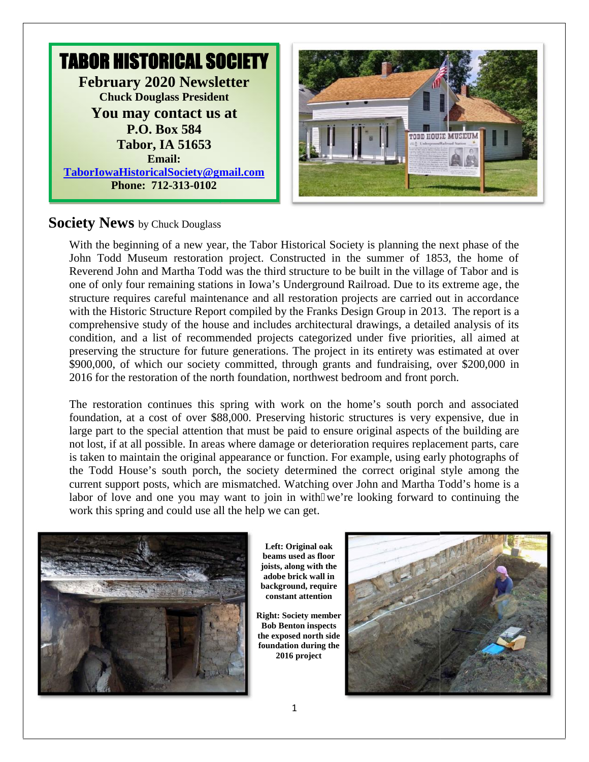

### **Society News** by Chuck Douglass

With the beginning of a new year, the Tabor Historical Society is planning the next phase of the John Todd Museum restoration project. Constructed in the summer of 1853, the home of With the beginning of a new year, the Tabor Historical Society is planning the next phase of the John Todd Museum restoration project. Constructed in the summer of 1853, the home of Reverend John and Martha Todd was the th one of only four remaining stations in Iowa's Underground Railroad. Due to its extreme age, the structure requires careful maintenance and all restoration projects are carried out in accordance with the Historic Structure Report compiled by the Franks Design Group in 2013. The report is a comprehensive study of the house and includes architectural drawings, a detailed analysis of its condition, and a list of recommended projects categorized under five priorities, all aimed at preserving the structure for future generations. The project in its entirety was estimated at over \$900,000, of which our society committed, through grants and fundraising, over \$200,000 in 2016 for the restoration of the north foundation, northwest bedroom and front porch. structure requires careful maintenance and all restoration projects are carried out in accordance<br>with the Historic Structure Report compiled by the Franks Design Group in 2013. The report is a<br>comprehensive study of the h preserving the structure for future generations. The project in its entirety was estimated at \$900,000, of which our society committed, through grants and fundraising, over \$200,00<br>2016 for the restoration of the north fou Museum restoration project. Constructed in the summer of 1853, the home of<br>hn and Martha Todd was the third structure to be built in the village of Tabor and is<br>four remaining stations in Iowa's Underground Railroad. Due t

The restoration continues this spring with work on the home's south porch and associated foundation, at a cost of over \$88,000. Preserving historic structures is very expensive, due in foundation, at a cost of over \$88,000. Preserving historic structures is very expensive, due in large part to the special attention that must be paid to ensure original aspects of the building are not lost, if at all possible. In areas where damage or deterioration requires replacement parts, care is taken to maintain the original appearance or function. For example, using early photographs of the Todd House's south porch, the society determined the correct original style among the current support posts, which are mismatched. Watching over John and Martha Todd's home is a labor of love and one you may want to join in with we're looking forward to continuing the work this spring and could use all the help we can get. work this spring and could use all the help we can get. if at all possible. In areas where damage or deterioration requires replacement parts, care<br>to maintain the original appearance or function. For example, using early photographs of<br>d House's south porch, the society determ



**Left: Original oak beams used as floor joists, along with the adobe brick wall in background, require constant attention**

**Right: Society member Bob Benton inspects the exposed north side foundation during the 2016 project r**<br>**r**<br>**reform**<br>**reform**<br>**reform**<br>**d**<br>**r**<br>**reform**<br>**reform**<br>**reform**<br>**reform**<br>**reform**<br>**reform**<br>**reform**<br>**reform**<br>**reform**<br>**reform**<br>**reform**<br>**reform**<br>**reform**<br>**reform**<br>**reform**<br>**reform**<br>**reform**<br>**reform**<br>**reform**<br>**reform** 

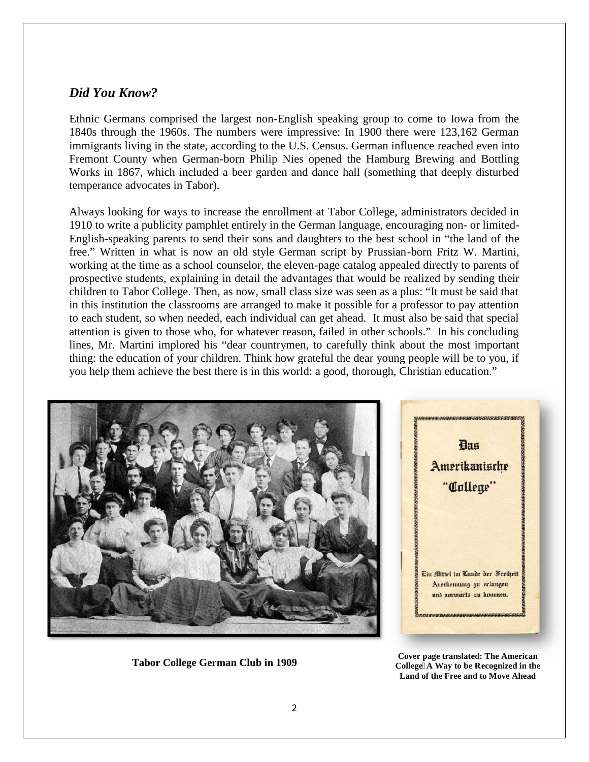#### *Did You Know? You Know?*

Ethnic Germans comprised the largest non-English speaking group to come to Iowa from the Ethnic Germans comprised the largest non-English speaking group to come to Iowa from the 1840s through the 1960s. The numbers were impressive: In 1900 there were 123,162 German immigrants living in the state, according to the U.S. Census. German influence reached even into Fremont County when German-born Philip Nies opened the Hamburg Brewing and Bottling Works in 1867, which included a beer garden and dance hall (something that deeply disturbed temperance advocates in Tabor). in the state, according to the U.S. Census. German influence reached even into when German-born Philip Nies opened the Hamburg Brewing and Bottling which included a beer garden and dance hall (something that deeply disturb

Always looking for ways to increase the enrollment at Tabor College, administrators decided in 1910 to write a publicity pamphlet entirely in the German language, encouraging non- or limited- English-speaking parents to send their sons and daughters to the best school in "the land of the English-speaking parents to send their sons and daughters to the best school in "the land of the free." Written in what is now an old style German script by Prussian-born Fritz W. Martini, working at the time as a school counselor, the eleven-page catalog appealed directly to parents of prospective students, explaining in detail the advantages that would be realized by sending their children to Tabor College. Then, as now, small class size was seen as a plus: "It must be said that in this institution the classrooms are arranged to make it possible for a professor to pay attention in this institution the classrooms are arranged to make it possible for a professor to pay attention<br>to each student, so when needed, each individual can get ahead. It must also be said that special attention is given to those who, for whatever reason, failed in other schools." In his concluding lines, Mr. Martini implored his "dear countrymen, to carefully think about the most important thing: the education of your children. Think how grateful the dear young people will be to you, if you help them achieve the best there is in this world: a good, thorough, Christian education."





**Cover page translated: The American College‒A Way to be Recognized in the Land of the Free and to Move Ahead Tabor College German Club in 1909 Cover page Collegeecognized Move Tabor College**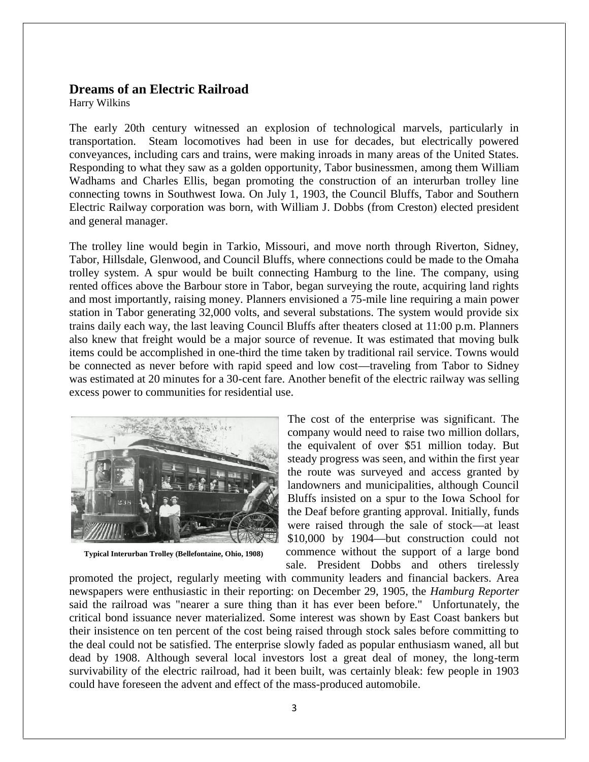#### **Dreams of an Electric Railroad**

Harry Wilkins

The early 20th century witnessed an explosion of technological marvels, particularly in transportation. Steam locomotives had been in use for decades, but electrically powered conveyances, including cars and trains, were making inroads in many areas of the United States. Responding to what they saw as a golden opportunity, Tabor businessmen, among them William Wadhams and Charles Ellis, began promoting the construction of an interurban trolley line connecting towns in Southwest Iowa. On July 1, 1903, the Council Bluffs, Tabor and Southern Electric Railway corporation was born, with William J. Dobbs (from Creston) elected president and general manager.

The trolley line would begin in Tarkio, Missouri, and move north through Riverton, Sidney, Tabor, Hillsdale, Glenwood, and Council Bluffs, where connections could be made to the Omaha trolley system. A spur would be built connecting Hamburg to the line. The company, using rented offices above the Barbour store in Tabor, began surveying the route, acquiring land rights and most importantly, raising money. Planners envisioned a 75-mile line requiring a main power station in Tabor generating 32,000 volts, and several substations. The system would provide six trains daily each way, the last leaving Council Bluffs after theaters closed at 11:00 p.m. Planners also knew that freight would be a major source of revenue. It was estimated that moving bulk items could be accomplished in one-third the time taken by traditional rail service. Towns would be connected as never before with rapid speed and low cost—traveling from Tabor to Sidney was estimated at 20 minutes for a 30-cent fare. Another benefit of the electric railway was selling excess power to communities for residential use.



**Typical Interurban Trolley (Bellefontaine, Ohio, 1908)**

The cost of the enterprise was significant. The company would need to raise two million dollars, the equivalent of over \$51 million today. But steady progress was seen, and within the first year the route was surveyed and access granted by landowners and municipalities, although Council Bluffs insisted on a spur to the Iowa School for the Deaf before granting approval. Initially, funds were raised through the sale of stock—at least \$10,000 by 1904—but construction could not commence without the support of a large bond sale. President Dobbs and others tirelessly

promoted the project, regularly meeting with community leaders and financial backers. Area newspapers were enthusiastic in their reporting: on December 29, 1905, the *Hamburg Reporter* said the railroad was "nearer a sure thing than it has ever been before." Unfortunately, the critical bond issuance never materialized. Some interest was shown by East Coast bankers but their insistence on ten percent of the cost being raised through stock sales before committing to the deal could not be satisfied. The enterprise slowly faded as popular enthusiasm waned, all but dead by 1908. Although several local investors lost a great deal of money, the long-term survivability of the electric railroad, had it been built, was certainly bleak: few people in 1903 could have foreseen the advent and effect of the mass-produced automobile.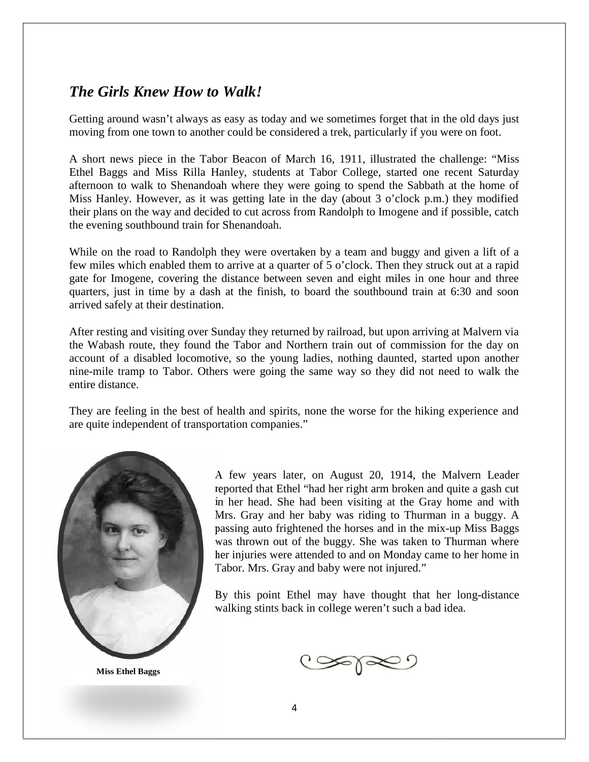## *The Girls Knew How to Walk! Girls*

Getting around wasn't always as easy as today and we sometimes forget that in the old days just moving from one town to another could be considered a trek, particularly if you were on foot.

A short news piece in the Tabor Beacon of March 16, 1911, illustrated the challenge: "Miss Ethel Baggs and Miss Rilla Hanley, students at Tabor College, started one recent Saturday Getting around wasn't always as easy as today and we sometimes forget that in the old days just<br>moving from one town to another could be considered a trek, particularly if you were on foot.<br>A short news piece in the Tabor Miss Hanley. However, as it was getting late in the day (about 3 o'clock p.m.) they modified their plans on the way and decided to cut across from Randolph to Imogene and if possible, catch the evening southbound train for Shenandoah.

While on the road to Randolph they were overtaken by a team and buggy and given a lift of a their plans on the way and decided to cut across from Randolph to Imogene and if possible, catch<br>the evening southbound train for Shenandoah.<br>While on the road to Randolph they were overtaken by a team and buggy and given gate for Imogene, covering the distance between seven and eight miles in one hour and three gate for Imogene, covering the distance between seven and eight miles in one hour and three<br>quarters, just in time by a dash at the finish, to board the southbound train at 6:30 and soon arrived safely at their destination.

After resting and visiting over Sunday they returned by railroad, but upon arriving at Malvern via arrived safely at their destination.<br>After resting and visiting over Sunday they returned by railroad, but upon arriving at Malvern via<br>the Wabash route, they found the Tabor and Northern train out of commission for the da account of a disabled locomotive, so the young ladies, nothing daunted, started upon another nine-mile tramp to Tabor. Others were going the same way so they did not need to walk the entire distance. nt of a disabled locomotive, so the young ladies, nothing daunted, started nile tramp to Tabor. Others were going the same way so they did not needistance.

They are feeling in the best of health and spirits, none the worse for the hiking experience and<br>are quite independent of transportation companies."<br>A few years later, on August 20, 1914, the Malvern Leader are quite independent of transportation companies."



**Miss Ethel Baggs**

A few years later, on August 20, 1914, the Malvern Leader reported that Ethel "had her right arm broken and quite a gash cut in her head. She had been visiting at the Gray home and with reported that Ethel "had her right arm broken and quite a gash cut<br>in her head. She had been visiting at the Gray home and with<br>Mrs. Gray and her baby was riding to Thurman in a buggy. A passing auto frightened the horses and in the mix-up Miss Baggs was thrown out of the buggy. She was taken to Thurman where her injuries were attended to and on Monday came to her home in Tabor. Mrs. Gray and baby were not injured." Tabor. Mrs. htened the horses and in the mix-up Mis<br>of the buggy. She was taken to Thurma<br>attended to and on Monday came to her

By this point Ethel may have thought that her long-distance By this point Ethel may have thought that her long-d walking stints back in college weren't such a bad idea.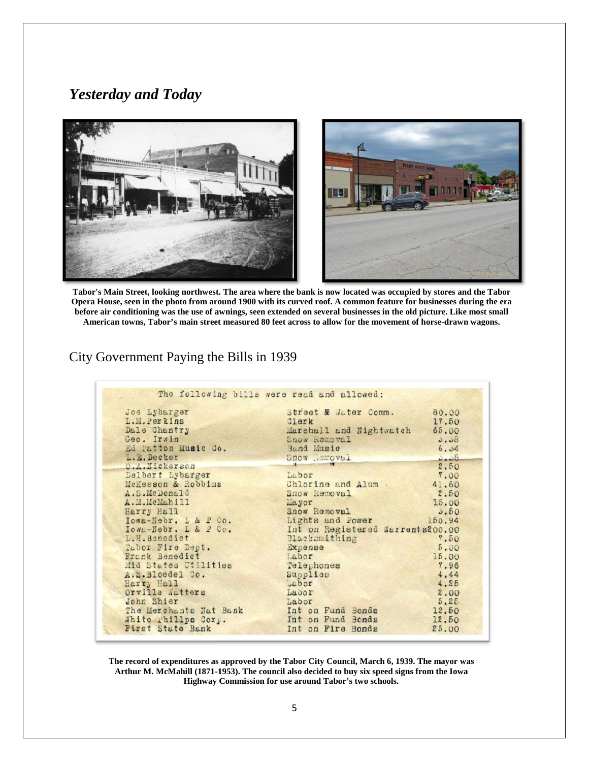# *Yesterday and Today*



**Tabor's Main Street, looking northwest. The area where the bank is now located was occupied by stores and the Tabor Opera House, seen in the photo from around 1900 with itscurved roof. A common feature for businesses during the era before air conditioning was the use of awnings, seen extended on several businesses in the old picture. Like most small American towns, Tabor's main street measured 80 feet across to allow for the movement of horse-drawn wagons.** bor's Main Street, looking northwest. The area where the bank is now located was occupied by stores and the Tabor<br>era House, seen in the photo from around 1900 with its curved roof. A common feature for businesses during t

### City Government Paying the Bills in 1939

| Joe Lybarger                            | Street & Jater Comm.                   | 80.00          |
|-----------------------------------------|----------------------------------------|----------------|
| L.M. Perkins                            | Clerk                                  | 17.50          |
| Dale Chantry                            | Marshall and Nightwatch                | 65.00          |
| Geo. Irwin                              | Snow Removal                           | 0.08           |
| Ed latton Music Co.                     | Band Music                             | 6.04           |
| L.E. Decker                             | Snow Memoval                           | 0.08           |
| O.A.Nickerson                           |                                        | 2.50           |
| Delbert Lybarger                        | Labor                                  | 7.00           |
| McKesson & Robbins                      | Chlorine and Alum                      | 41.60          |
| A.S.McDonald                            | Snow Removal                           | 2.50           |
| A.M. McMahill                           | <b>Mayor</b>                           | 15.00          |
| Harry Hall                              | Snow Removal                           | 0.50           |
| Iowa-Nebr. L & P Co.                    | Lights and Power                       | 150.94         |
| Iowa-Nebr. L & P Co.                    | Int on Registered Warrents200.00       |                |
| L.H. Benedict                           | Blacksmithing                          | 7.50           |
| Tabor Fire Dept.                        | Expense                                | 5.00           |
| Frank Benedict                          | Labor                                  | 15.00          |
| Mid States Utilities                    | Telephones                             | 7.96           |
| A.S.Bloedel Co.                         | Supplies                               | 4.44           |
| Harry Hall                              | Labor                                  | 4.25           |
| Orville Watters                         | Labor                                  | 2.00           |
| John Shier                              | Labor                                  | 5.25           |
| The Merchants Nat Bank                  | Int on Fund Bonds                      | 12.50          |
| White Phillps Corp.<br>First State Bank | Int on Fund Bonds<br>Int on Fire Bonds | 12.50<br>25.00 |

**The record of expenditures as approved by the Tabor City Council, March 6, 1939. The mayor was** he record of expenditures as approved by the Tabor City Council, March 6, 1939. The mayor was<br>Arthur M. McMahill (1871-1953). The council also decided to buy six speed signs from the Iowa **Highway Commission for use around Tabor's two schools.**